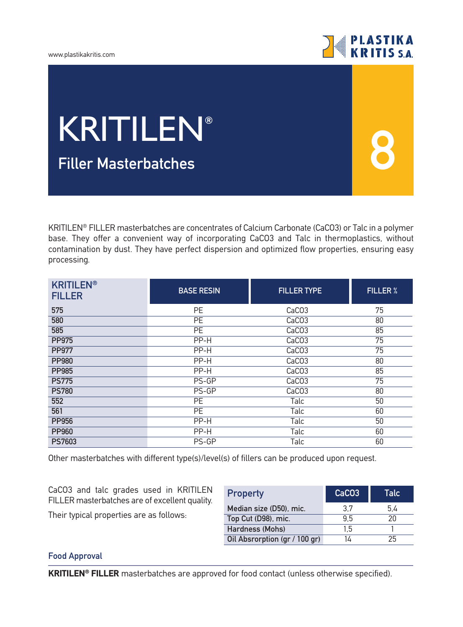



**8**

# **Filler Μasterbatches** KRITILEN**®**

KRITILEN® FILLER masterbatches are concentrates of Calcium Carbonate (CaCO3) or Talc in a polymer base. They offer a convenient way of incorporating CaCO3 and Talc in thermoplastics, without contamination by dust. They have perfect dispersion and optimized flow properties, ensuring easy processing.

| <b>KRITILEN®</b><br><b>FILLER</b> | <b>BASE RESIN</b> | <b>FILLER TYPE</b> | <b>FILLER %</b> |
|-----------------------------------|-------------------|--------------------|-----------------|
| 575                               | PE                | CaCO <sub>3</sub>  | 75              |
| 580                               | PE                | CaCO <sub>3</sub>  | 80              |
| 585                               | <b>PE</b>         | CaCO <sub>3</sub>  | 85              |
| <b>PP975</b>                      | PP-H              | CaCO <sub>3</sub>  | $\overline{75}$ |
| <b>PP977</b>                      | PP-H              | CaCO <sub>3</sub>  | 75              |
| <b>PP980</b>                      | PP-H              | CaCO <sub>3</sub>  | 80              |
| <b>PP985</b>                      | PP-H              | CaCO <sub>3</sub>  | 85              |
| <b>PS775</b>                      | PS-GP             | CaCO <sub>3</sub>  | 75              |
| <b>PS780</b>                      | $PS-GP$           | CaCO <sub>3</sub>  | 80              |
| 552                               | <b>PE</b>         | Talc               | 50              |
| 561                               | PE                | Talc               | 60              |
| <b>PP956</b>                      | PP-H              | Talc               | 50              |
| <b>PP960</b>                      | PP-H              | Talc               | 60              |
| <b>PS7603</b>                     | PS-GP             | Talc               | 60              |

Other masterbatches with different type(s)/level(s) of fillers can be produced upon request.

CaCO3 and talc grades used in KRITILEN FILLER masterbatches are of excellent quality.

Their typical properties are as follows:

| <b>Property</b>               | CaCO <sub>3</sub> | Talc |
|-------------------------------|-------------------|------|
| Median size (D50), mic.       | 3.7               | 5.4  |
| Top Cut (D98), mic.           | 95                | 20   |
| Hardness (Mohs)               | 1.5               |      |
| Oil Absrorption (gr / 100 gr) | 14                | 25   |

## **Food Approval**

**KRITILEN® FILLER** masterbatches are approved for food contact (unless otherwise specified).